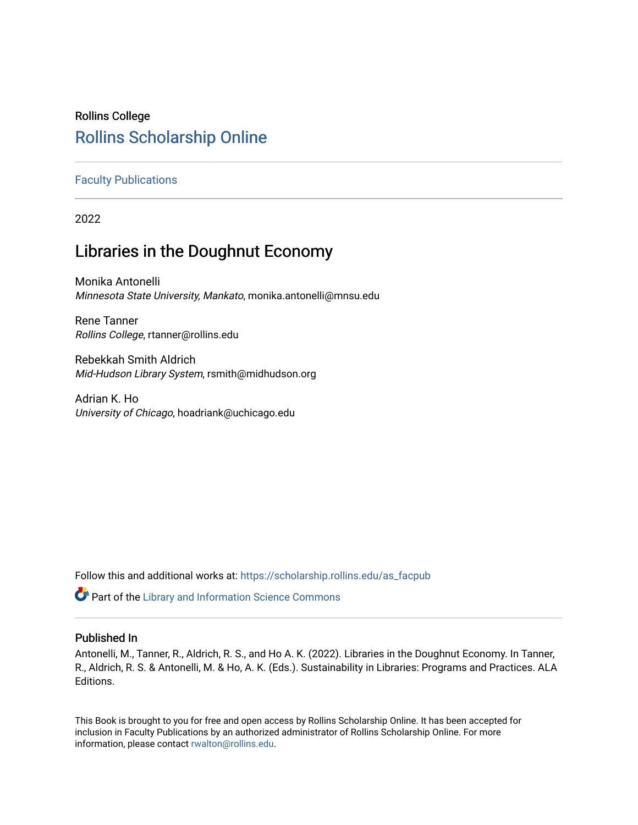# Rollins College [Rollins Scholarship Online](https://scholarship.rollins.edu/)

# [Faculty Publications](https://scholarship.rollins.edu/as_facpub)

2022

# Libraries in the Doughnut Economy

Monika Antonelli Minnesota State University, Mankato, monika.antonelli@mnsu.edu

Rene Tanner Rollins College, rtanner@rollins.edu

Rebekkah Smith Aldrich Mid-Hudson Library System, rsmith@midhudson.org

Adrian K. Ho University of Chicago, hoadriank@uchicago.edu

Follow this and additional works at: [https://scholarship.rollins.edu/as\\_facpub](https://scholarship.rollins.edu/as_facpub?utm_source=scholarship.rollins.edu%2Fas_facpub%2F252&utm_medium=PDF&utm_campaign=PDFCoverPages) 

**C** Part of the Library and Information Science Commons

# Published In

Antonelli, M., Tanner, R., Aldrich, R. S., and Ho A. K. (2022). Libraries in the Doughnut Economy. In Tanner, R., Aldrich, R. S. & Antonelli, M. & Ho, A. K. (Eds.). Sustainability in Libraries: Programs and Practices. ALA Editions.

This Book is brought to you for free and open access by Rollins Scholarship Online. It has been accepted for inclusion in Faculty Publications by an authorized administrator of Rollins Scholarship Online. For more information, please contact [rwalton@rollins.edu.](mailto:rwalton@rollins.edu)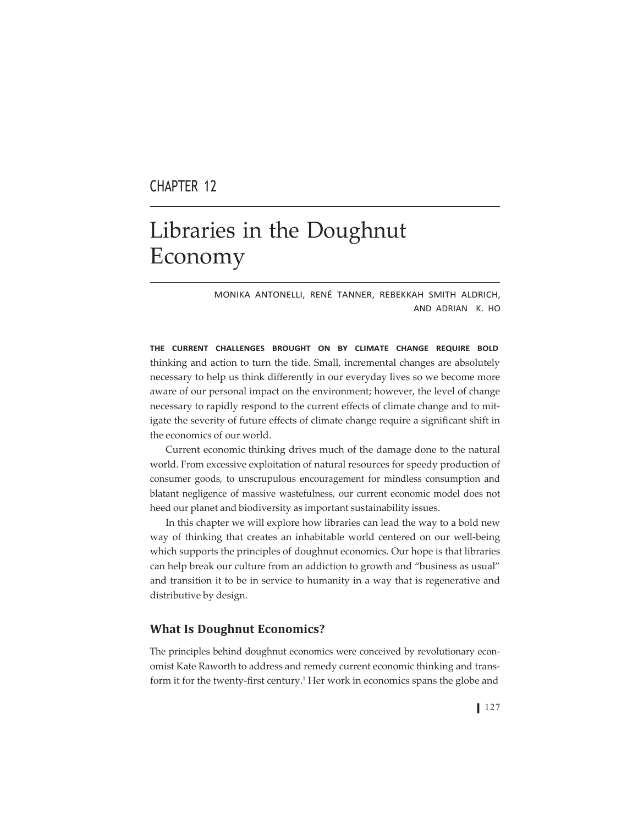# CHAPTER 12

# Libraries in the Doughnut Economy

MONIKA ANTONELLI, RENÉ TANNER, REBEKKAH SMITH ALDRICH, AND ADRIAN K. HO

**THE CURRENT CHALLENGES BROUGHT ON BY CLIMATE CHANGE REQUIRE BOLD** thinking and action to turn the tide. Small, incremental changes are absolutely necessary to help us think differently in our everyday lives so we become more aware of our personal impact on the environment; however, the level of change necessary to rapidly respond to the current effects of climate change and to mitigate the severity of future effects of climate change require a significant shift in the economics of our world.

Current economic thinking drives much of the damage done to the natural world. From excessive exploitation of natural resources for speedy production of consumer goods, to unscrupulous encouragement for mindless consumption and blatant negligence of massive wastefulness, our current economic model does not heed our planet and biodiversity as important sustainability issues.

In this chapter we will explore how libraries can lead the way to a bold new way of thinking that creates an inhabitable world centered on our well-being which supports the principles of doughnut economics. Our hope is that libraries can help break our culture from an addiction to growth and "business as usual" and transition it to be in service to humanity in a way that is regenerative and distributive by design.

## **What Is Doughnut Economics?**

The principles behind doughnut economics were conceived by revolutionary economist Kate Raworth to address and remedy current economic thinking and transform it for the twenty-first century.<sup>1</sup> Her work in economics spans the globe and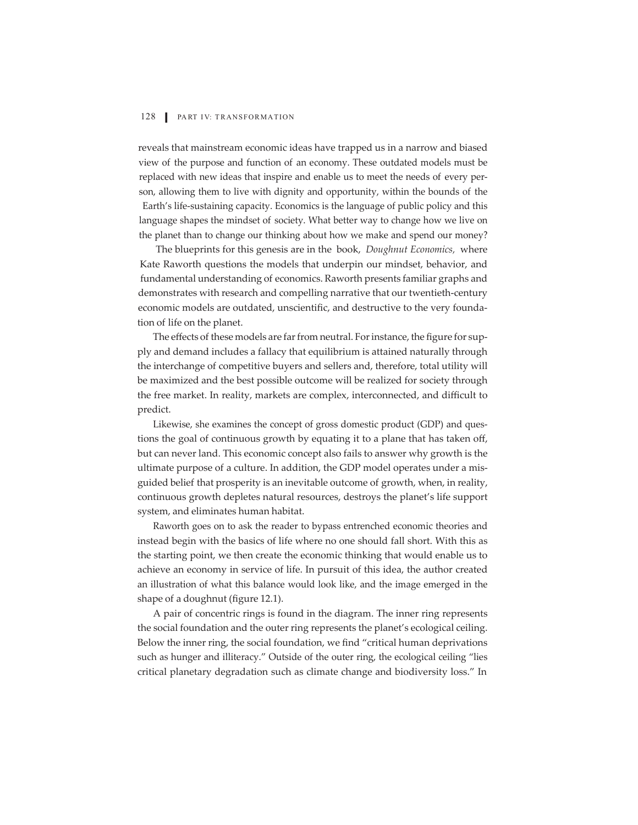reveals that mainstream economic ideas have trapped us in a narrow and biased view of the purpose and function of an economy. These outdated models must be replaced with new ideas that inspire and enable us to meet the needs of every person, allowing them to live with dignity and opportunity, within the bounds of the Earth's life-sustaining capacity. Economics is the language of public policy and this language shapes the mindset of society. What better way to change how we live on the planet than to change our thinking about how we make and spend our money?

The blueprints for this genesis are in the book, *Doughnut Economics,* where Kate Raworth questions the models that underpin our mindset, behavior, and fundamental understanding of economics. Raworth presents familiar graphs and demonstrates with research and compelling narrative that our twentieth-century economic models are outdated, unscientific, and destructive to the very foundation of life on the planet.

The effects of these models are far from neutral. For instance, the figure for supply and demand includes a fallacy that equilibrium is attained naturally through the interchange of competitive buyers and sellers and, therefore, total utility will be maximized and the best possible outcome will be realized for society through the free market. In reality, markets are complex, interconnected, and difficult to predict.

Likewise, she examines the concept of gross domestic product (GDP) and questions the goal of continuous growth by equating it to a plane that has taken off, but can never land. This economic concept also fails to answer why growth is the ultimate purpose of a culture. In addition, the GDP model operates under a misguided belief that prosperity is an inevitable outcome of growth, when, in reality, continuous growth depletes natural resources, destroys the planet's life support system, and eliminates human habitat.

Raworth goes on to ask the reader to bypass entrenched economic theories and instead begin with the basics of life where no one should fall short. With this as the starting point, we then create the economic thinking that would enable us to achieve an economy in service of life. In pursuit of this idea, the author created an illustration of what this balance would look like, and the image emerged in the shape of a doughnut (figure 12.1).

A pair of concentric rings is found in the diagram. The inner ring represents the social foundation and the outer ring represents the planet's ecological ceiling. Below the inner ring, the social foundation, we find "critical human deprivations such as hunger and illiteracy." Outside of the outer ring, the ecological ceiling "lies critical planetary degradation such as climate change and biodiversity loss." In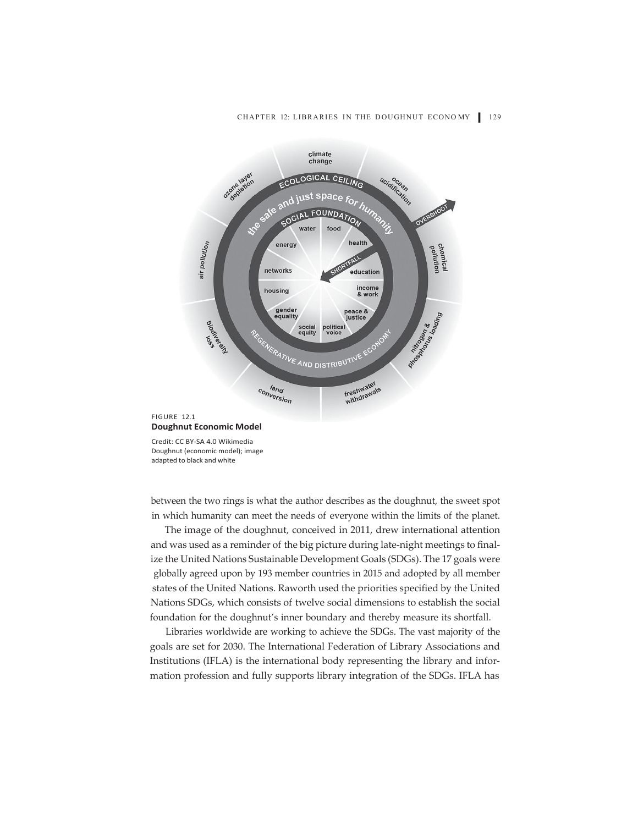#### CHAPTER 12: LIBRARIES IN THE DOUGHNUT ECONOMY 129



Credit: CC BY-SA 4.0 Wikimedia Doughnut (economic model); image adapted to black and white

between the two rings is what the author describes as the doughnut, the sweet spot in which humanity can meet the needs of everyone within the limits of the planet.

The image of the doughnut, conceived in 2011, drew international attention and was used as a reminder of the big picture during late-night meetings to finalize the United Nations Sustainable Development Goals (SDGs). The 17 goals were globally agreed upon by 193 member countries in 2015 and adopted by all member states of the United Nations. Raworth used the priorities specified by the United Nations SDGs, which consists of twelve social dimensions to establish the social foundation for the doughnut's inner boundary and thereby measure its shortfall.

Libraries worldwide are working to achieve the SDGs. The vast majority of the goals are set for 2030. The International Federation of Library Associations and Institutions (IFLA) is the international body representing the library and information profession and fully supports library integration of the SDGs. IFLA has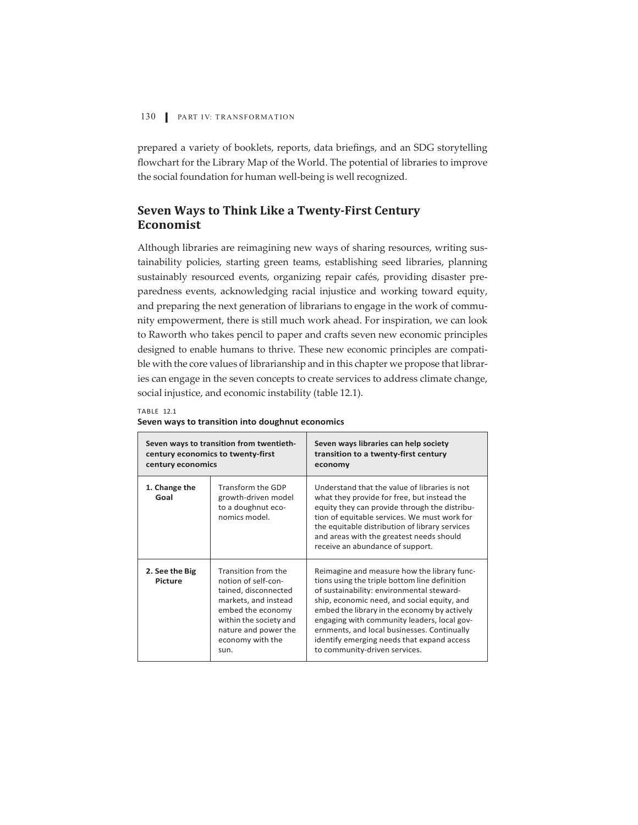prepared a variety of booklets, reports, data briefings, and an SDG storytelling flowchart for the Library Map of the World. The potential of libraries to improve the social foundation for human well-being is well recognized.

# **Seven Ways to Think Like a Twenty-First Century Economist**

Although libraries are reimagining new ways of sharing resources, writing sustainability policies, starting green teams, establishing seed libraries, planning sustainably resourced events, organizing repair cafés, providing disaster preparedness events, acknowledging racial injustice and working toward equity, and preparing the next generation of librarians to engage in the work of community empowerment, there is still much work ahead. For inspiration, we can look to Raworth who takes pencil to paper and crafts seven new economic principles designed to enable humans to thrive. These new economic principles are compatible with the core values of librarianship and in this chapter we propose that libraries can engage in the seven concepts to create services to address climate change, social injustice, and economic instability (table 12.1).

| ABI |  |
|-----|--|
|     |  |

| century economics                | Seven ways to transition from twentieth-<br>century economics to twenty-first                                                                                                                 | Seven ways libraries can help society<br>transition to a twenty-first century<br>economy                                                                                                                                                                                                                                                                                                                              |
|----------------------------------|-----------------------------------------------------------------------------------------------------------------------------------------------------------------------------------------------|-----------------------------------------------------------------------------------------------------------------------------------------------------------------------------------------------------------------------------------------------------------------------------------------------------------------------------------------------------------------------------------------------------------------------|
| 1. Change the<br>Goal            | Transform the GDP<br>growth-driven model<br>to a doughnut eco-<br>nomics model.                                                                                                               | Understand that the value of libraries is not<br>what they provide for free, but instead the<br>equity they can provide through the distribu-<br>tion of equitable services. We must work for<br>the equitable distribution of library services<br>and areas with the greatest needs should<br>receive an abundance of support.                                                                                       |
| 2. See the Big<br><b>Picture</b> | Transition from the<br>notion of self-con-<br>tained, disconnected<br>markets, and instead<br>embed the economy<br>within the society and<br>nature and power the<br>economy with the<br>sun. | Reimagine and measure how the library func-<br>tions using the triple bottom line definition<br>of sustainability: environmental steward-<br>ship, economic need, and social equity, and<br>embed the library in the economy by actively<br>engaging with community leaders, local gov-<br>ernments, and local businesses. Continually<br>identify emerging needs that expand access<br>to community-driven services. |

#### **Seven ways to transition into doughnut economics**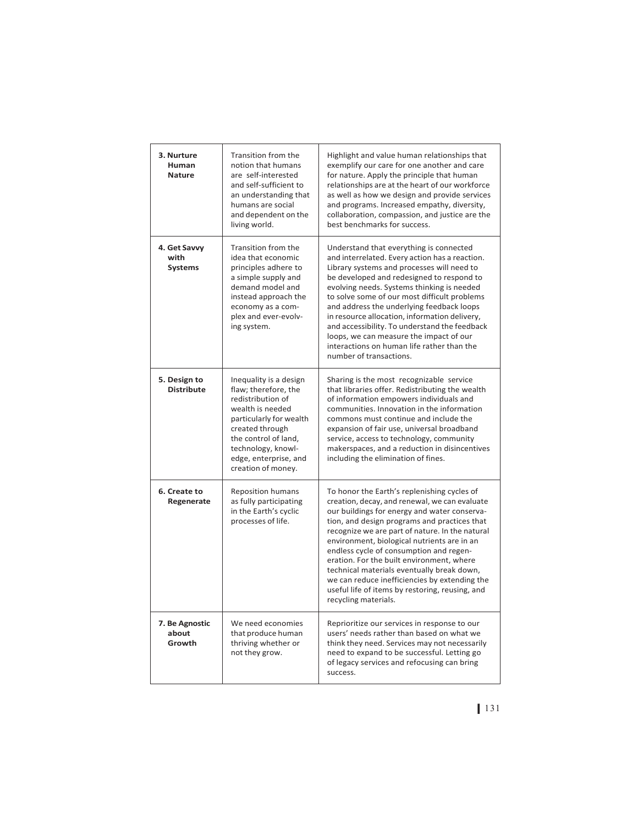| 3. Nurture<br>Human<br><b>Nature</b>   | Transition from the<br>notion that humans<br>are self-interested<br>and self-sufficient to<br>an understanding that<br>humans are social<br>and dependent on the<br>living world.                                                  | Highlight and value human relationships that<br>exemplify our care for one another and care<br>for nature. Apply the principle that human<br>relationships are at the heart of our workforce<br>as well as how we design and provide services<br>and programs. Increased empathy, diversity,<br>collaboration, compassion, and justice are the<br>best benchmarks for success.                                                                                                                                                                                   |
|----------------------------------------|------------------------------------------------------------------------------------------------------------------------------------------------------------------------------------------------------------------------------------|------------------------------------------------------------------------------------------------------------------------------------------------------------------------------------------------------------------------------------------------------------------------------------------------------------------------------------------------------------------------------------------------------------------------------------------------------------------------------------------------------------------------------------------------------------------|
| 4. Get Savvy<br>with<br><b>Systems</b> | Transition from the<br>idea that economic<br>principles adhere to<br>a simple supply and<br>demand model and<br>instead approach the<br>economy as a com-<br>plex and ever-evolv-<br>ing system.                                   | Understand that everything is connected<br>and interrelated. Every action has a reaction.<br>Library systems and processes will need to<br>be developed and redesigned to respond to<br>evolving needs. Systems thinking is needed<br>to solve some of our most difficult problems<br>and address the underlying feedback loops<br>in resource allocation, information delivery,<br>and accessibility. To understand the feedback<br>loops, we can measure the impact of our<br>interactions on human life rather than the<br>number of transactions.            |
| 5. Design to<br><b>Distribute</b>      | Inequality is a design<br>flaw; therefore, the<br>redistribution of<br>wealth is needed<br>particularly for wealth<br>created through<br>the control of land,<br>technology, knowl-<br>edge, enterprise, and<br>creation of money. | Sharing is the most recognizable service<br>that libraries offer. Redistributing the wealth<br>of information empowers individuals and<br>communities. Innovation in the information<br>commons must continue and include the<br>expansion of fair use, universal broadband<br>service, access to technology, community<br>makerspaces, and a reduction in disincentives<br>including the elimination of fines.                                                                                                                                                  |
| 6. Create to<br>Regenerate             | <b>Reposition humans</b><br>as fully participating<br>in the Earth's cyclic<br>processes of life.                                                                                                                                  | To honor the Earth's replenishing cycles of<br>creation, decay, and renewal, we can evaluate<br>our buildings for energy and water conserva-<br>tion, and design programs and practices that<br>recognize we are part of nature. In the natural<br>environment, biological nutrients are in an<br>endless cycle of consumption and regen-<br>eration. For the built environment, where<br>technical materials eventually break down,<br>we can reduce inefficiencies by extending the<br>useful life of items by restoring, reusing, and<br>recycling materials. |
| 7. Be Agnostic<br>about<br>Growth      | We need economies<br>that produce human<br>thriving whether or<br>not they grow.                                                                                                                                                   | Reprioritize our services in response to our<br>users' needs rather than based on what we<br>think they need. Services may not necessarily<br>need to expand to be successful. Letting go<br>of legacy services and refocusing can bring<br>success.                                                                                                                                                                                                                                                                                                             |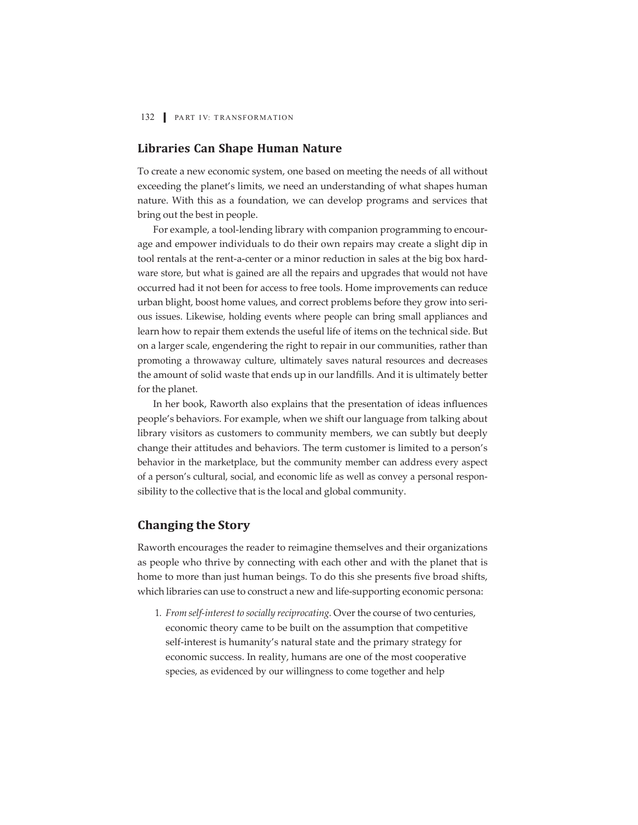# **Libraries Can Shape Human Nature**

To create a new economic system, one based on meeting the needs of all without exceeding the planet's limits, we need an understanding of what shapes human nature. With this as a foundation, we can develop programs and services that bring out the best in people.

For example, a tool-lending library with companion programming to encourage and empower individuals to do their own repairs may create a slight dip in tool rentals at the rent-a-center or a minor reduction in sales at the big box hardware store, but what is gained are all the repairs and upgrades that would not have occurred had it not been for access to free tools. Home improvements can reduce urban blight, boost home values, and correct problems before they grow into serious issues. Likewise, holding events where people can bring small appliances and learn how to repair them extends the useful life of items on the technical side. But on a larger scale, engendering the right to repair in our communities, rather than promoting a throwaway culture, ultimately saves natural resources and decreases the amount of solid waste that ends up in our landfills. And it is ultimately better for the planet.

In her book, Raworth also explains that the presentation of ideas influences people's behaviors. For example, when we shift our language from talking about library visitors as customers to community members, we can subtly but deeply change their attitudes and behaviors. The term customer is limited to a person's behavior in the marketplace, but the community member can address every aspect of a person's cultural, social, and economic life as well as convey a personal responsibility to the collective that is the local and global community.

## **Changing the Story**

Raworth encourages the reader to reimagine themselves and their organizations as people who thrive by connecting with each other and with the planet that is home to more than just human beings. To do this she presents five broad shifts, which libraries can use to construct a new and life-supporting economic persona:

1. *From self-interest to socially reciprocating.* Over the course of two centuries, economic theory came to be built on the assumption that competitive self-interest is humanity's natural state and the primary strategy for economic success. In reality, humans are one of the most cooperative species, as evidenced by our willingness to come together and help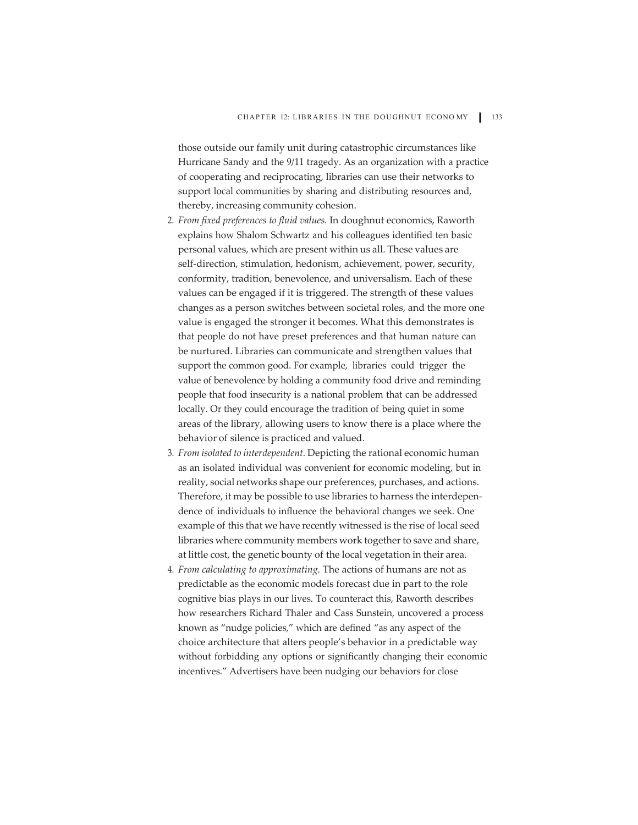those outside our family unit during catastrophic circumstances like Hurricane Sandy and the 9/11 tragedy. As an organization with a practice of cooperating and reciprocating, libraries can use their networks to support local communities by sharing and distributing resources and, thereby, increasing community cohesion.

- 2. *From fixed preferences to fluid values.* In doughnut economics, Raworth explains how Shalom Schwartz and his colleagues identified ten basic personal values, which are present within us all. These values are self-direction, stimulation, hedonism, achievement, power, security, conformity, tradition, benevolence, and universalism. Each of these values can be engaged if it is triggered. The strength of these values changes as a person switches between societal roles, and the more one value is engaged the stronger it becomes. What this demonstrates is that people do not have preset preferences and that human nature can be nurtured. Libraries can communicate and strengthen values that support the common good. For example, libraries could trigger the value of benevolence by holding a community food drive and reminding people that food insecurity is a national problem that can be addressed locally. Or they could encourage the tradition of being quiet in some areas of the library, allowing users to know there is a place where the behavior of silence is practiced and valued.
- 3. *From isolated to interdependent.* Depicting the rational economic human as an isolated individual was convenient for economic modeling, but in reality, social networks shape our preferences, purchases, and actions. Therefore, it may be possible to use libraries to harness the interdependence of individuals to influence the behavioral changes we seek. One example of this that we have recently witnessed is the rise of local seed libraries where community members work together to save and share, at little cost, the genetic bounty of the local vegetation in their area.
- 4. *From calculating to approximating.* The actions of humans are not as predictable as the economic models forecast due in part to the role cognitive bias plays in our lives. To counteract this, Raworth describes how researchers Richard Thaler and Cass Sunstein, uncovered a process known as "nudge policies," which are defined "as any aspect of the choice architecture that alters people's behavior in a predictable way without forbidding any options or significantly changing their economic incentives." Advertisers have been nudging our behaviors for close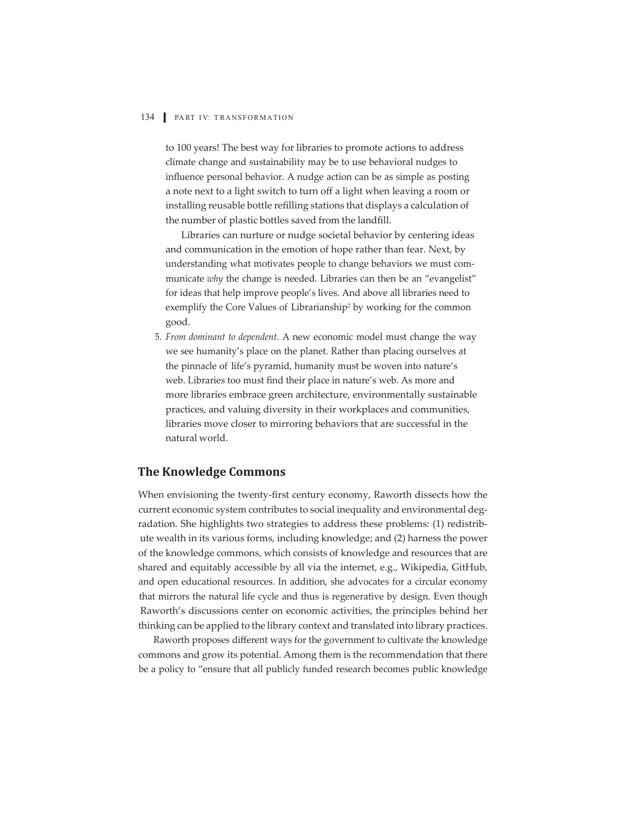to 100 years! The best way for libraries to promote actions to address climate change and sustainability may be to use behavioral nudges to influence personal behavior. A nudge action can be as simple as posting a note next to a light switch to turn off a light when leaving a room or installing reusable bottle refilling stations that displays a calculation of the number of plastic bottles saved from the landfill.

Libraries can nurture or nudge societal behavior by centering ideas and communication in the emotion of hope rather than fear. Next, by understanding what motivates people to change behaviors we must communicate *why* the change is needed. Libraries can then be an "evangelist" for ideas that help improve people's lives. And above all libraries need to exemplify the Core Values of Librarianship<sup>2</sup> by working for the common good.

5. *From dominant to dependent.* A new economic model must change the way we see humanity's place on the planet. Rather than placing ourselves at the pinnacle of life's pyramid, humanity must be woven into nature's web. Libraries too must find their place in nature's web. As more and more libraries embrace green architecture, environmentally sustainable practices, and valuing diversity in their workplaces and communities, libraries move closer to mirroring behaviors that are successful in the natural world.

## **The Knowledge Commons**

When envisioning the twenty-first century economy, Raworth dissects how the current economic system contributes to social inequality and environmental degradation. She highlights two strategies to address these problems: (1) redistribute wealth in its various forms, including knowledge; and (2) harness the power of the knowledge commons, which consists of knowledge and resources that are shared and equitably accessible by all via the internet, e.g., Wikipedia, GitHub, and open educational resources. In addition, she advocates for a circular economy that mirrors the natural life cycle and thus is regenerative by design. Even though Raworth's discussions center on economic activities, the principles behind her thinking can be applied to the library context and translated into library practices.

Raworth proposes different ways for the government to cultivate the knowledge commons and grow its potential. Among them is the recommendation that there be a policy to "ensure that all publicly funded research becomes public knowledge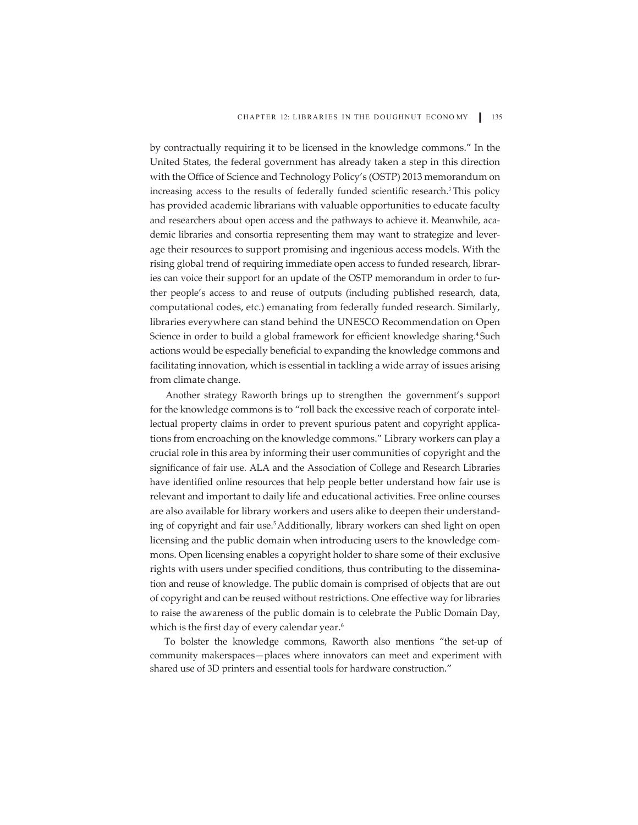by contractually requiring it to be licensed in the knowledge commons." In the United States, the federal government has already taken a step in this direction with the Office of Science and Technology Policy's (OSTP) 2013 memorandum on increasing access to the results of federally funded scientific research.<sup>3</sup> This policy has provided academic librarians with valuable opportunities to educate faculty and researchers about open access and the pathways to achieve it. Meanwhile, academic libraries and consortia representing them may want to strategize and leverage their resources to support promising and ingenious access models. With the rising global trend of requiring immediate open access to funded research, libraries can voice their support for an update of the OSTP memorandum in order to further people's access to and reuse of outputs (including published research, data, computational codes, etc.) emanating from federally funded research. Similarly, libraries everywhere can stand behind the UNESCO Recommendation on Open Science in order to build a global framework for efficient knowledge sharing.<sup>4</sup> Such actions would be especially beneficial to expanding the knowledge commons and facilitating innovation, which is essential in tackling a wide array of issues arising from climate change.

Another strategy Raworth brings up to strengthen the government's support for the knowledge commons is to "roll back the excessive reach of corporate intellectual property claims in order to prevent spurious patent and copyright applications from encroaching on the knowledge commons." Library workers can play a crucial role in this area by informing their user communities of copyright and the significance of fair use. ALA and the Association of College and Research Libraries have identified online resources that help people better understand how fair use is relevant and important to daily life and educational activities. Free online courses are also available for library workers and users alike to deepen their understanding of copyright and fair use.<sup>5</sup> Additionally, library workers can shed light on open licensing and the public domain when introducing users to the knowledge commons. Open licensing enables a copyright holder to share some of their exclusive rights with users under specified conditions, thus contributing to the dissemination and reuse of knowledge. The public domain is comprised of objects that are out of copyright and can be reused without restrictions. One effective way for libraries to raise the awareness of the public domain is to celebrate the Public Domain Day, which is the first day of every calendar year.<sup>6</sup>

To bolster the knowledge commons, Raworth also mentions "the set-up of community makerspaces—places where innovators can meet and experiment with shared use of 3D printers and essential tools for hardware construction."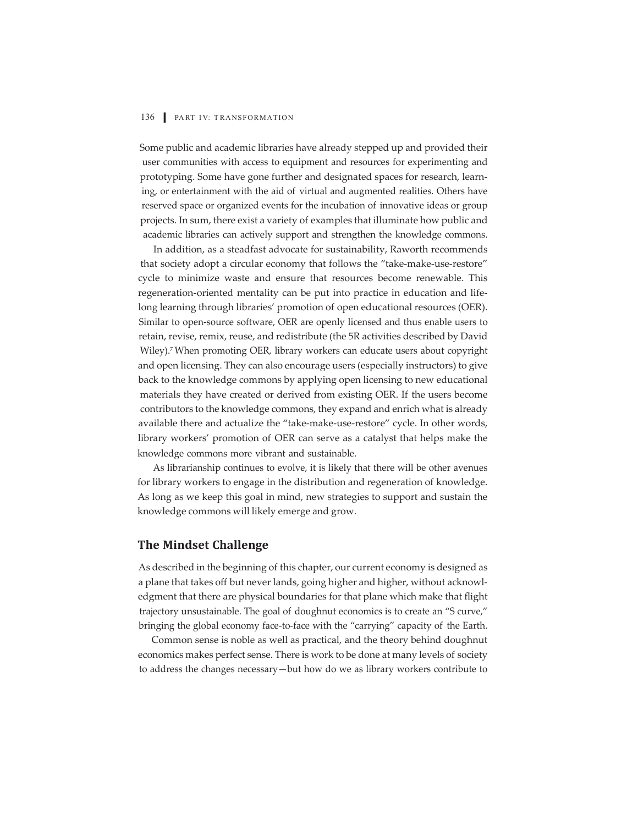Some public and academic libraries have already stepped up and provided their user communities with access to equipment and resources for experimenting and prototyping. Some have gone further and designated spaces for research, learning, or entertainment with the aid of virtual and augmented realities. Others have reserved space or organized events for the incubation of innovative ideas or group projects. In sum, there exist a variety of examples that illuminate how public and academic libraries can actively support and strengthen the knowledge commons.

In addition, as a steadfast advocate for sustainability, Raworth recommends that society adopt a circular economy that follows the "take-make-use-restore" cycle to minimize waste and ensure that resources become renewable. This regeneration-oriented mentality can be put into practice in education and lifelong learning through libraries' promotion of open educational resources (OER). Similar to open-source software, OER are openly licensed and thus enable users to retain, revise, remix, reuse, and redistribute (the 5R activities described by David Wiley).7 When promoting OER, library workers can educate users about copyright and open licensing. They can also encourage users (especially instructors) to give back to the knowledge commons by applying open licensing to new educational materials they have created or derived from existing OER. If the users become contributors to the knowledge commons, they expand and enrich what is already available there and actualize the "take-make-use-restore" cycle. In other words, library workers' promotion of OER can serve as a catalyst that helps make the knowledge commons more vibrant and sustainable.

As librarianship continues to evolve, it is likely that there will be other avenues for library workers to engage in the distribution and regeneration of knowledge. As long as we keep this goal in mind, new strategies to support and sustain the knowledge commons will likely emerge and grow.

### **The Mindset Challenge**

As described in the beginning of this chapter, our current economy is designed as a plane that takes off but never lands, going higher and higher, without acknowledgment that there are physical boundaries for that plane which make that flight trajectory unsustainable. The goal of doughnut economics is to create an "S curve," bringing the global economy face-to-face with the "carrying" capacity of the Earth.

Common sense is noble as well as practical, and the theory behind doughnut economics makes perfect sense. There is work to be done at many levels of society to address the changes necessary—but how do we as library workers contribute to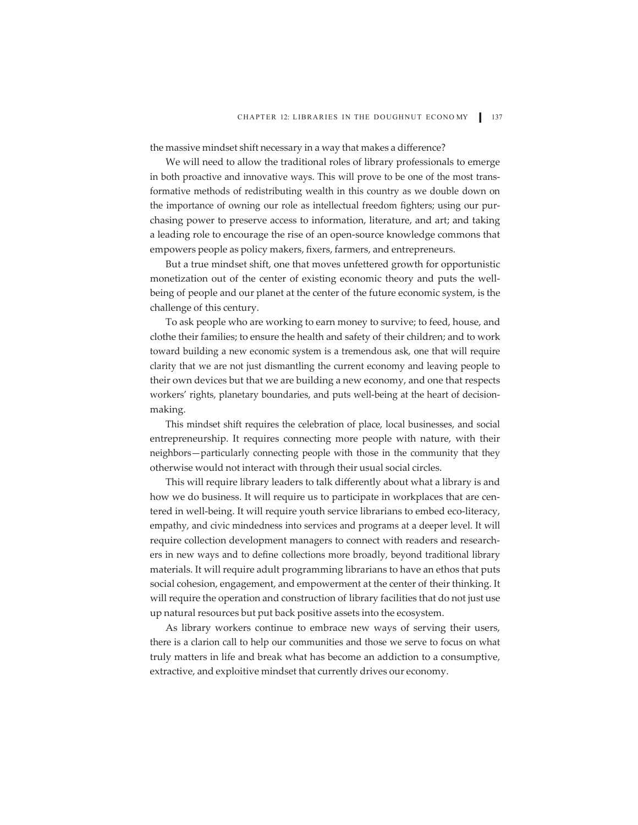the massive mindset shift necessary in a way that makes a difference?

We will need to allow the traditional roles of library professionals to emerge in both proactive and innovative ways. This will prove to be one of the most transformative methods of redistributing wealth in this country as we double down on the importance of owning our role as intellectual freedom fighters; using our purchasing power to preserve access to information, literature, and art; and taking a leading role to encourage the rise of an open-source knowledge commons that empowers people as policy makers, fixers, farmers, and entrepreneurs.

But a true mindset shift, one that moves unfettered growth for opportunistic monetization out of the center of existing economic theory and puts the wellbeing of people and our planet at the center of the future economic system, is the challenge of this century.

To ask people who are working to earn money to survive; to feed, house, and clothe their families; to ensure the health and safety of their children; and to work toward building a new economic system is a tremendous ask, one that will require clarity that we are not just dismantling the current economy and leaving people to their own devices but that we are building a new economy, and one that respects workers' rights, planetary boundaries, and puts well-being at the heart of decisionmaking.

This mindset shift requires the celebration of place, local businesses, and social entrepreneurship. It requires connecting more people with nature, with their neighbors—particularly connecting people with those in the community that they otherwise would not interact with through their usual social circles.

This will require library leaders to talk differently about what a library is and how we do business. It will require us to participate in workplaces that are centered in well-being. It will require youth service librarians to embed eco-literacy, empathy, and civic mindedness into services and programs at a deeper level. It will require collection development managers to connect with readers and researchers in new ways and to define collections more broadly, beyond traditional library materials. It will require adult programming librarians to have an ethos that puts social cohesion, engagement, and empowerment at the center of their thinking. It will require the operation and construction of library facilities that do not just use up natural resources but put back positive assets into the ecosystem.

As library workers continue to embrace new ways of serving their users, there is a clarion call to help our communities and those we serve to focus on what truly matters in life and break what has become an addiction to a consumptive, extractive, and exploitive mindset that currently drives our economy.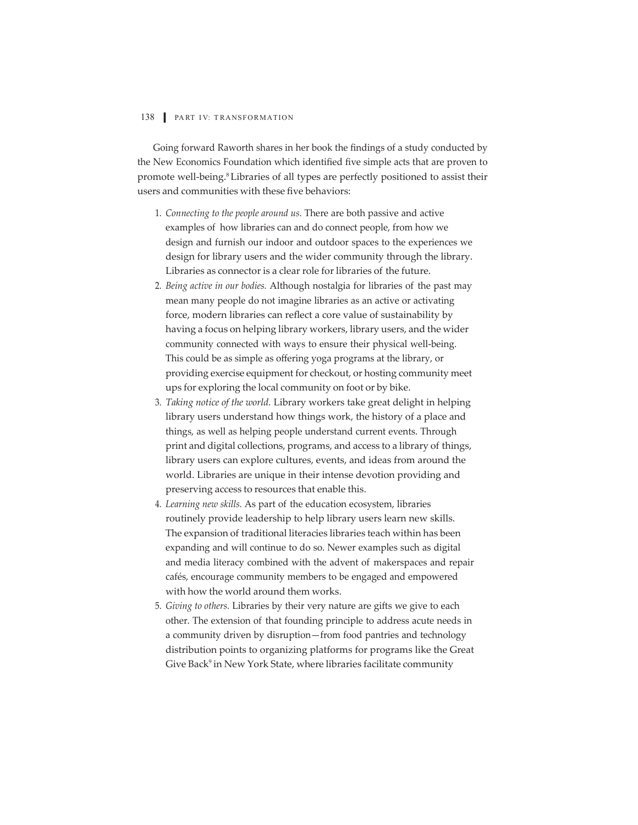Going forward Raworth shares in her book the findings of a study conducted by the New Economics Foundation which identified five simple acts that are proven to promote well-being.8 Libraries of all types are perfectly positioned to assist their users and communities with these five behaviors:

- 1. *Connecting to the people around us.* There are both passive and active examples of how libraries can and do connect people, from how we design and furnish our indoor and outdoor spaces to the experiences we design for library users and the wider community through the library. Libraries as connector is a clear role for libraries of the future.
- 2. *Being active in our bodies.* Although nostalgia for libraries of the past may mean many people do not imagine libraries as an active or activating force, modern libraries can reflect a core value of sustainability by having a focus on helping library workers, library users, and the wider community connected with ways to ensure their physical well-being. This could be as simple as offering yoga programs at the library, or providing exercise equipment for checkout, or hosting community meet ups for exploring the local community on foot or by bike.
- 3. *Taking notice of the world.* Library workers take great delight in helping library users understand how things work, the history of a place and things, as well as helping people understand current events. Through print and digital collections, programs, and access to a library of things, library users can explore cultures, events, and ideas from around the world. Libraries are unique in their intense devotion providing and preserving access to resources that enable this.
- 4. *Learning new skills.* As part of the education ecosystem, libraries routinely provide leadership to help library users learn new skills. The expansion of traditional literacies libraries teach within has been expanding and will continue to do so. Newer examples such as digital and media literacy combined with the advent of makerspaces and repair cafés, encourage community members to be engaged and empowered with how the world around them works.
- 5. *Giving to others.* Libraries by their very nature are gifts we give to each other. The extension of that founding principle to address acute needs in a community driven by disruption—from food pantries and technology distribution points to organizing platforms for programs like the Great Give Back<sup>9</sup> in New York State, where libraries facilitate community